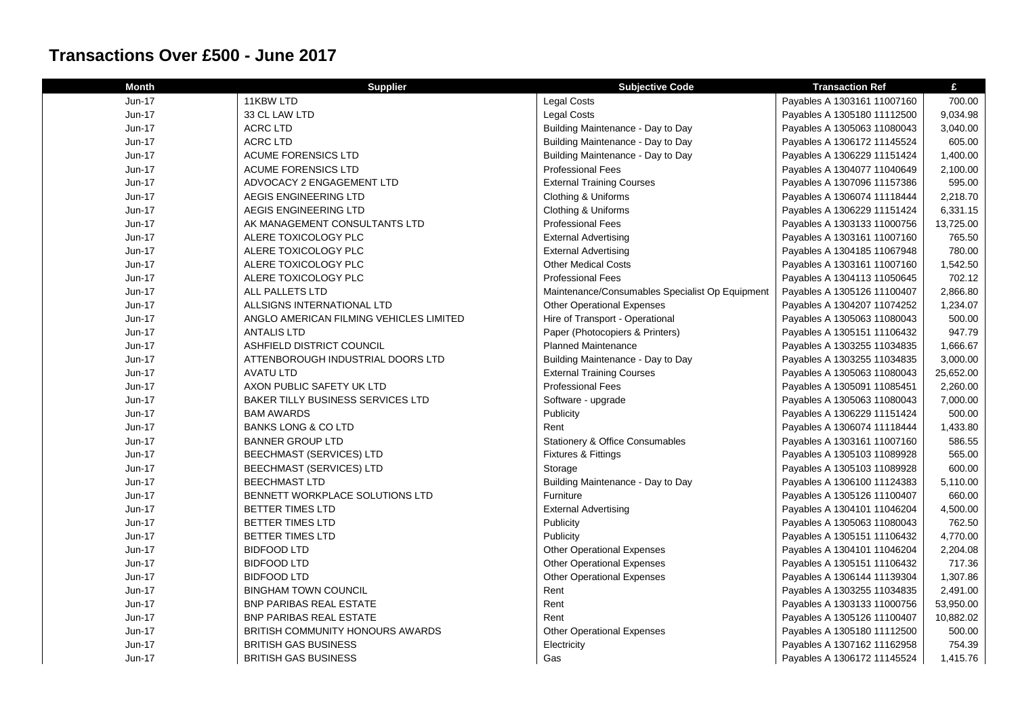## **Transactions Over £500 - June 2017**

| <b>Month</b> | <b>Supplier</b>                         | <b>Subjective Code</b>                          | <b>Transaction Ref</b>      | £         |
|--------------|-----------------------------------------|-------------------------------------------------|-----------------------------|-----------|
| Jun-17       | 11KBW LTD                               | <b>Legal Costs</b>                              | Payables A 1303161 11007160 | 700.00    |
| Jun-17       | 33 CL LAW LTD                           | <b>Legal Costs</b>                              | Payables A 1305180 11112500 | 9,034.98  |
| Jun-17       | <b>ACRC LTD</b>                         | Building Maintenance - Day to Day               | Payables A 1305063 11080043 | 3,040.00  |
| Jun-17       | <b>ACRC LTD</b>                         | Building Maintenance - Day to Day               | Payables A 1306172 11145524 | 605.00    |
| Jun-17       | <b>ACUME FORENSICS LTD</b>              | Building Maintenance - Day to Day               | Payables A 1306229 11151424 | 1,400.00  |
| Jun-17       | <b>ACUME FORENSICS LTD</b>              | <b>Professional Fees</b>                        | Payables A 1304077 11040649 | 2,100.00  |
| Jun-17       | ADVOCACY 2 ENGAGEMENT LTD               | <b>External Training Courses</b>                | Payables A 1307096 11157386 | 595.00    |
| Jun-17       | AEGIS ENGINEERING LTD                   | Clothing & Uniforms                             | Payables A 1306074 11118444 | 2,218.70  |
| Jun-17       | AEGIS ENGINEERING LTD                   | Clothing & Uniforms                             | Payables A 1306229 11151424 | 6,331.15  |
| Jun-17       | AK MANAGEMENT CONSULTANTS LTD           | <b>Professional Fees</b>                        | Payables A 1303133 11000756 | 13,725.00 |
| Jun-17       | ALERE TOXICOLOGY PLC                    | <b>External Advertising</b>                     | Payables A 1303161 11007160 | 765.50    |
| Jun-17       | ALERE TOXICOLOGY PLC                    | <b>External Advertising</b>                     | Payables A 1304185 11067948 | 780.00    |
| Jun-17       | ALERE TOXICOLOGY PLC                    | <b>Other Medical Costs</b>                      | Payables A 1303161 11007160 | 1,542.50  |
| Jun-17       | ALERE TOXICOLOGY PLC                    | <b>Professional Fees</b>                        | Payables A 1304113 11050645 | 702.12    |
| Jun-17       | ALL PALLETS LTD                         | Maintenance/Consumables Specialist Op Equipment | Payables A 1305126 11100407 | 2,866.80  |
| Jun-17       | ALLSIGNS INTERNATIONAL LTD              | <b>Other Operational Expenses</b>               | Payables A 1304207 11074252 | 1,234.07  |
| Jun-17       | ANGLO AMERICAN FILMING VEHICLES LIMITED | Hire of Transport - Operational                 | Payables A 1305063 11080043 | 500.00    |
| Jun-17       | <b>ANTALIS LTD</b>                      | Paper (Photocopiers & Printers)                 | Payables A 1305151 11106432 | 947.79    |
| Jun-17       | ASHFIELD DISTRICT COUNCIL               | <b>Planned Maintenance</b>                      | Payables A 1303255 11034835 | 1,666.67  |
| Jun-17       | ATTENBOROUGH INDUSTRIAL DOORS LTD       | Building Maintenance - Day to Day               | Payables A 1303255 11034835 | 3,000.00  |
| Jun-17       | <b>AVATU LTD</b>                        | <b>External Training Courses</b>                | Payables A 1305063 11080043 | 25,652.00 |
| $Jun-17$     | AXON PUBLIC SAFETY UK LTD               | <b>Professional Fees</b>                        | Payables A 1305091 11085451 | 2,260.00  |
| Jun-17       | BAKER TILLY BUSINESS SERVICES LTD       | Software - upgrade                              | Payables A 1305063 11080043 | 7,000.00  |
| Jun-17       | <b>BAM AWARDS</b>                       | Publicity                                       | Payables A 1306229 11151424 | 500.00    |
| Jun-17       | <b>BANKS LONG &amp; CO LTD</b>          | Rent                                            | Payables A 1306074 11118444 | 1,433.80  |
| Jun-17       | <b>BANNER GROUP LTD</b>                 | Stationery & Office Consumables                 | Payables A 1303161 11007160 | 586.55    |
| Jun-17       | <b>BEECHMAST (SERVICES) LTD</b>         | Fixtures & Fittings                             | Payables A 1305103 11089928 | 565.00    |
| Jun-17       | <b>BEECHMAST (SERVICES) LTD</b>         | Storage                                         | Payables A 1305103 11089928 | 600.00    |
| Jun-17       | <b>BEECHMAST LTD</b>                    | Building Maintenance - Day to Day               | Payables A 1306100 11124383 | 5,110.00  |
| Jun-17       | BENNETT WORKPLACE SOLUTIONS LTD         | Furniture                                       | Payables A 1305126 11100407 | 660.00    |
| Jun-17       | <b>BETTER TIMES LTD</b>                 | <b>External Advertising</b>                     | Payables A 1304101 11046204 | 4,500.00  |
| Jun-17       | <b>BETTER TIMES LTD</b>                 | Publicity                                       | Payables A 1305063 11080043 | 762.50    |
| Jun-17       | <b>BETTER TIMES LTD</b>                 | Publicity                                       | Payables A 1305151 11106432 | 4,770.00  |
| Jun-17       | <b>BIDFOOD LTD</b>                      | <b>Other Operational Expenses</b>               | Payables A 1304101 11046204 | 2,204.08  |
| Jun-17       | <b>BIDFOOD LTD</b>                      | <b>Other Operational Expenses</b>               | Payables A 1305151 11106432 | 717.36    |
| Jun-17       | <b>BIDFOOD LTD</b>                      | <b>Other Operational Expenses</b>               | Payables A 1306144 11139304 | 1,307.86  |
| Jun-17       | <b>BINGHAM TOWN COUNCIL</b>             | Rent                                            | Payables A 1303255 11034835 | 2,491.00  |
| Jun-17       | <b>BNP PARIBAS REAL ESTATE</b>          | Rent                                            | Payables A 1303133 11000756 | 53,950.00 |
| Jun-17       | <b>BNP PARIBAS REAL ESTATE</b>          | Rent                                            | Payables A 1305126 11100407 | 10,882.02 |
| Jun-17       | BRITISH COMMUNITY HONOURS AWARDS        | <b>Other Operational Expenses</b>               | Payables A 1305180 11112500 | 500.00    |
| Jun-17       | <b>BRITISH GAS BUSINESS</b>             | Electricity                                     | Payables A 1307162 11162958 | 754.39    |
| Jun-17       | <b>BRITISH GAS BUSINESS</b>             | Gas                                             | Payables A 1306172 11145524 | 1,415.76  |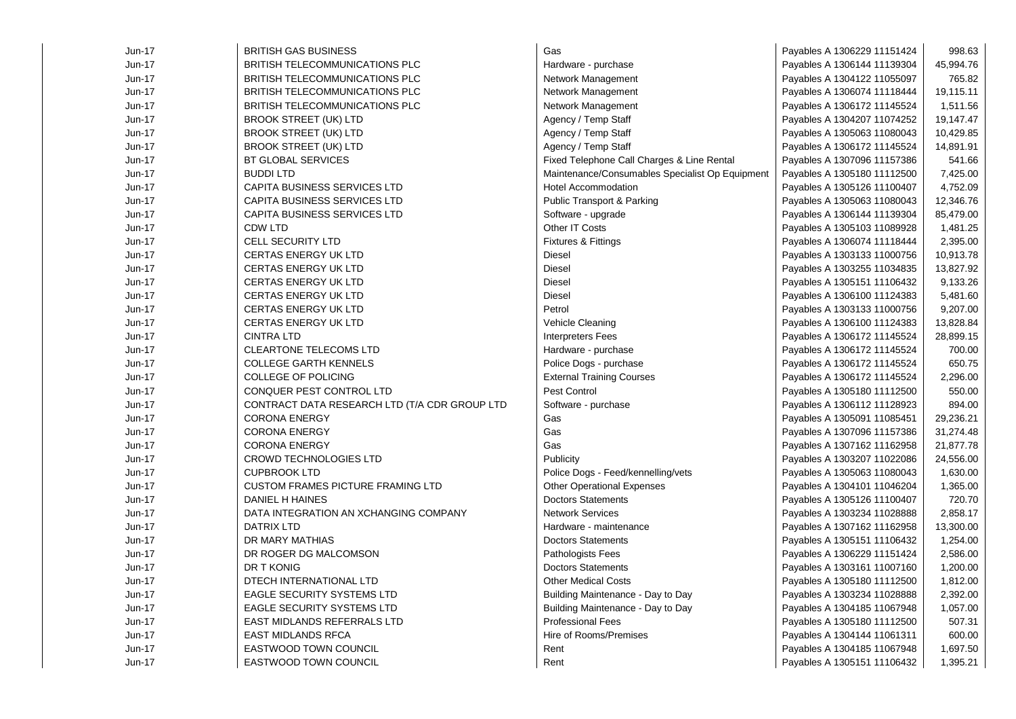| $Jun-17$ | <b>BRITISH GAS BUSINESS</b>                   | Gas                                             | Payables A 1306229 11151424 | 998.63    |
|----------|-----------------------------------------------|-------------------------------------------------|-----------------------------|-----------|
| $Jun-17$ | <b>BRITISH TELECOMMUNICATIONS PLC</b>         | Hardware - purchase                             | Payables A 1306144 11139304 | 45,994.76 |
| Jun-17   | BRITISH TELECOMMUNICATIONS PLC                | Network Management                              | Payables A 1304122 11055097 | 765.82    |
| Jun-17   | <b>BRITISH TELECOMMUNICATIONS PLC</b>         | Network Management                              | Payables A 1306074 11118444 | 19,115.11 |
| Jun-17   | <b>BRITISH TELECOMMUNICATIONS PLC</b>         | Network Management                              | Payables A 1306172 11145524 | 1,511.56  |
| Jun-17   | <b>BROOK STREET (UK) LTD</b>                  | Agency / Temp Staff                             | Payables A 1304207 11074252 | 19,147.47 |
| Jun-17   | <b>BROOK STREET (UK) LTD</b>                  | Agency / Temp Staff                             | Payables A 1305063 11080043 | 10,429.85 |
| $Jun-17$ | <b>BROOK STREET (UK) LTD</b>                  | Agency / Temp Staff                             | Payables A 1306172 11145524 | 14,891.91 |
| Jun-17   | <b>BT GLOBAL SERVICES</b>                     | Fixed Telephone Call Charges & Line Rental      | Payables A 1307096 11157386 | 541.66    |
| $Jun-17$ | <b>BUDDI LTD</b>                              | Maintenance/Consumables Specialist Op Equipment | Payables A 1305180 11112500 | 7,425.00  |
| Jun-17   | CAPITA BUSINESS SERVICES LTD                  | Hotel Accommodation                             | Payables A 1305126 11100407 | 4,752.09  |
| Jun-17   | <b>CAPITA BUSINESS SERVICES LTD</b>           | <b>Public Transport &amp; Parking</b>           | Payables A 1305063 11080043 | 12,346.76 |
| Jun-17   | CAPITA BUSINESS SERVICES LTD                  | Software - upgrade                              | Payables A 1306144 11139304 | 85,479.00 |
| Jun-17   | CDW LTD                                       | Other IT Costs                                  | Payables A 1305103 11089928 | 1,481.25  |
| Jun-17   | <b>CELL SECURITY LTD</b>                      | Fixtures & Fittings                             | Payables A 1306074 11118444 | 2,395.00  |
| Jun-17   | <b>CERTAS ENERGY UK LTD</b>                   | Diesel                                          | Payables A 1303133 11000756 | 10,913.78 |
| Jun-17   | <b>CERTAS ENERGY UK LTD</b>                   | <b>Diesel</b>                                   | Payables A 1303255 11034835 | 13,827.92 |
| Jun-17   | <b>CERTAS ENERGY UK LTD</b>                   | Diesel                                          | Payables A 1305151 11106432 | 9,133.26  |
| Jun-17   | <b>CERTAS ENERGY UK LTD</b>                   | Diesel                                          | Payables A 1306100 11124383 | 5,481.60  |
| $Jun-17$ | <b>CERTAS ENERGY UK LTD</b>                   | Petrol                                          | Payables A 1303133 11000756 | 9,207.00  |
| Jun-17   | <b>CERTAS ENERGY UK LTD</b>                   | Vehicle Cleaning                                | Payables A 1306100 11124383 | 13,828.84 |
| $Jun-17$ | <b>CINTRA LTD</b>                             | <b>Interpreters Fees</b>                        | Payables A 1306172 11145524 | 28,899.15 |
| Jun-17   | <b>CLEARTONE TELECOMS LTD</b>                 | Hardware - purchase                             | Payables A 1306172 11145524 | 700.00    |
| $Jun-17$ | <b>COLLEGE GARTH KENNELS</b>                  | Police Dogs - purchase                          | Payables A 1306172 11145524 | 650.75    |
| Jun-17   | COLLEGE OF POLICING                           | <b>External Training Courses</b>                | Payables A 1306172 11145524 | 2,296.00  |
| Jun-17   | CONQUER PEST CONTROL LTD                      | Pest Control                                    | Payables A 1305180 11112500 | 550.00    |
| Jun-17   | CONTRACT DATA RESEARCH LTD (T/A CDR GROUP LTD | Software - purchase                             | Payables A 1306112 11128923 | 894.00    |
| $Jun-17$ | <b>CORONA ENERGY</b>                          | Gas                                             | Payables A 1305091 11085451 | 29,236.21 |
| Jun-17   | <b>CORONA ENERGY</b>                          | Gas                                             | Payables A 1307096 11157386 | 31,274.48 |
| Jun-17   | <b>CORONA ENERGY</b>                          | Gas                                             | Payables A 1307162 11162958 | 21,877.78 |
| $Jun-17$ | <b>CROWD TECHNOLOGIES LTD</b>                 | Publicity                                       | Payables A 1303207 11022086 | 24,556.00 |
| Jun-17   | <b>CUPBROOK LTD</b>                           | Police Dogs - Feed/kennelling/vets              | Payables A 1305063 11080043 | 1,630.00  |
| Jun-17   | <b>CUSTOM FRAMES PICTURE FRAMING LTD</b>      | <b>Other Operational Expenses</b>               | Payables A 1304101 11046204 | 1,365.00  |
| Jun-17   | DANIEL H HAINES                               | <b>Doctors Statements</b>                       | Payables A 1305126 11100407 | 720.70    |
| Jun-17   | DATA INTEGRATION AN XCHANGING COMPANY         | <b>Network Services</b>                         | Payables A 1303234 11028888 | 2,858.17  |
| Jun-17   | <b>DATRIX LTD</b>                             | Hardware - maintenance                          | Payables A 1307162 11162958 | 13,300.00 |
| Jun-17   | DR MARY MATHIAS                               | <b>Doctors Statements</b>                       | Payables A 1305151 11106432 | 1,254.00  |
| Jun-17   | DR ROGER DG MALCOMSON                         | Pathologists Fees                               | Payables A 1306229 11151424 | 2,586.00  |
| Jun-17   | DR T KONIG                                    | <b>Doctors Statements</b>                       | Payables A 1303161 11007160 | 1,200.00  |
| Jun-17   | DTECH INTERNATIONAL LTD                       | <b>Other Medical Costs</b>                      | Payables A 1305180 11112500 | 1,812.00  |
| $Jun-17$ | <b>EAGLE SECURITY SYSTEMS LTD</b>             | Building Maintenance - Day to Day               | Payables A 1303234 11028888 | 2,392.00  |
| $Jun-17$ | <b>EAGLE SECURITY SYSTEMS LTD</b>             | Building Maintenance - Day to Day               | Payables A 1304185 11067948 | 1,057.00  |
| $Jun-17$ | EAST MIDLANDS REFERRALS LTD                   | <b>Professional Fees</b>                        | Payables A 1305180 11112500 | 507.31    |
| $Jun-17$ | <b>EAST MIDLANDS RFCA</b>                     | Hire of Rooms/Premises                          | Payables A 1304144 11061311 | 600.00    |
| $Jun-17$ | EASTWOOD TOWN COUNCIL                         | Rent                                            | Payables A 1304185 11067948 | 1,697.50  |
| Jun-17   | EASTWOOD TOWN COUNCIL                         | Rent                                            | Payables A 1305151 11106432 | 1,395.21  |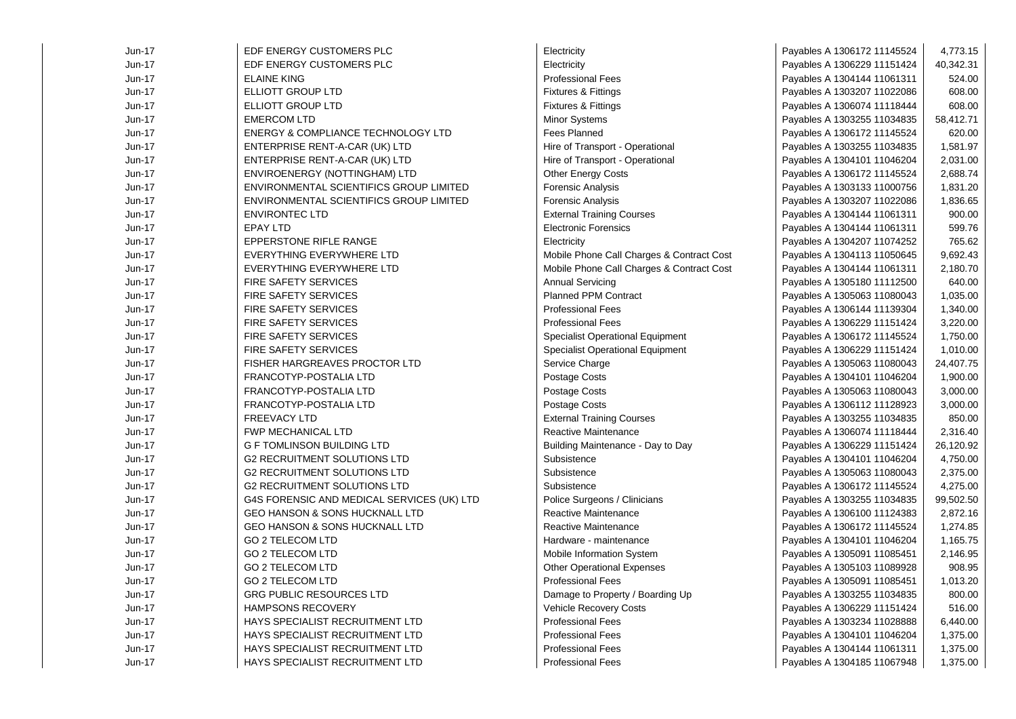| Jun-17   | EDF ENERGY CUSTOMERS PLC                   | Electricity                               | Payables A 1306172 11145524 | 4,773.15  |
|----------|--------------------------------------------|-------------------------------------------|-----------------------------|-----------|
| Jun-17   | EDF ENERGY CUSTOMERS PLC                   | Electricity                               | Payables A 1306229 11151424 | 40,342.31 |
| Jun-17   | <b>ELAINE KING</b>                         | <b>Professional Fees</b>                  | Payables A 1304144 11061311 | 524.00    |
| Jun-17   | ELLIOTT GROUP LTD                          | Fixtures & Fittings                       | Payables A 1303207 11022086 | 608.00    |
| Jun-17   | ELLIOTT GROUP LTD                          | Fixtures & Fittings                       | Payables A 1306074 11118444 | 608.00    |
| $Jun-17$ | <b>EMERCOM LTD</b>                         | Minor Systems                             | Payables A 1303255 11034835 | 58,412.71 |
| Jun-17   | ENERGY & COMPLIANCE TECHNOLOGY LTD         | <b>Fees Planned</b>                       | Payables A 1306172 11145524 | 620.00    |
| Jun-17   | ENTERPRISE RENT-A-CAR (UK) LTD             | Hire of Transport - Operational           | Payables A 1303255 11034835 | 1,581.97  |
| Jun-17   | ENTERPRISE RENT-A-CAR (UK) LTD             | Hire of Transport - Operational           | Payables A 1304101 11046204 | 2,031.00  |
| Jun-17   | ENVIROENERGY (NOTTINGHAM) LTD              | Other Energy Costs                        | Payables A 1306172 11145524 | 2,688.74  |
| Jun-17   | ENVIRONMENTAL SCIENTIFICS GROUP LIMITED    | Forensic Analysis                         | Payables A 1303133 11000756 | 1,831.20  |
| Jun-17   | ENVIRONMENTAL SCIENTIFICS GROUP LIMITED    | Forensic Analysis                         | Payables A 1303207 11022086 | 1,836.65  |
| Jun-17   | <b>ENVIRONTEC LTD</b>                      | <b>External Training Courses</b>          | Payables A 1304144 11061311 | 900.00    |
| Jun-17   | <b>EPAY LTD</b>                            | <b>Electronic Forensics</b>               | Payables A 1304144 11061311 | 599.76    |
| Jun-17   | <b>EPPERSTONE RIFLE RANGE</b>              | Electricity                               | Payables A 1304207 11074252 | 765.62    |
| Jun-17   | EVERYTHING EVERYWHERE LTD                  | Mobile Phone Call Charges & Contract Cost | Payables A 1304113 11050645 | 9,692.43  |
| Jun-17   | EVERYTHING EVERYWHERE LTD                  | Mobile Phone Call Charges & Contract Cost | Payables A 1304144 11061311 | 2,180.70  |
| Jun-17   | <b>FIRE SAFETY SERVICES</b>                | <b>Annual Servicing</b>                   | Payables A 1305180 11112500 | 640.00    |
| Jun-17   | <b>FIRE SAFETY SERVICES</b>                | <b>Planned PPM Contract</b>               | Payables A 1305063 11080043 | 1,035.00  |
| Jun-17   | <b>FIRE SAFETY SERVICES</b>                | <b>Professional Fees</b>                  | Payables A 1306144 11139304 | 1,340.00  |
| Jun-17   | <b>FIRE SAFETY SERVICES</b>                | <b>Professional Fees</b>                  | Payables A 1306229 11151424 | 3,220.00  |
| Jun-17   | <b>FIRE SAFETY SERVICES</b>                | Specialist Operational Equipment          | Payables A 1306172 11145524 | 1,750.00  |
| Jun-17   | <b>FIRE SAFETY SERVICES</b>                | <b>Specialist Operational Equipment</b>   | Payables A 1306229 11151424 | 1,010.00  |
| Jun-17   | <b>FISHER HARGREAVES PROCTOR LTD</b>       | Service Charge                            | Payables A 1305063 11080043 | 24,407.75 |
| Jun-17   | FRANCOTYP-POSTALIA LTD                     | Postage Costs                             | Payables A 1304101 11046204 | 1,900.00  |
| Jun-17   | FRANCOTYP-POSTALIA LTD                     | Postage Costs                             | Payables A 1305063 11080043 | 3,000.00  |
| Jun-17   | FRANCOTYP-POSTALIA LTD                     | Postage Costs                             | Payables A 1306112 11128923 | 3,000.00  |
| Jun-17   | <b>FREEVACY LTD</b>                        | <b>External Training Courses</b>          | Payables A 1303255 11034835 | 850.00    |
| Jun-17   | <b>FWP MECHANICAL LTD</b>                  | Reactive Maintenance                      | Payables A 1306074 11118444 | 2,316.40  |
| Jun-17   | G F TOMLINSON BUILDING LTD                 | Building Maintenance - Day to Day         | Payables A 1306229 11151424 | 26,120.92 |
| Jun-17   | <b>G2 RECRUITMENT SOLUTIONS LTD</b>        | Subsistence                               | Payables A 1304101 11046204 | 4,750.00  |
| Jun-17   | <b>G2 RECRUITMENT SOLUTIONS LTD</b>        | Subsistence                               | Payables A 1305063 11080043 | 2,375.00  |
| Jun-17   | <b>G2 RECRUITMENT SOLUTIONS LTD</b>        | Subsistence                               | Payables A 1306172 11145524 | 4,275.00  |
| Jun-17   | G4S FORENSIC AND MEDICAL SERVICES (UK) LTD | Police Surgeons / Clinicians              | Payables A 1303255 11034835 | 99,502.50 |
| Jun-17   | GEO HANSON & SONS HUCKNALL LTD             | Reactive Maintenance                      | Payables A 1306100 11124383 | 2,872.16  |
| Jun-17   | GEO HANSON & SONS HUCKNALL LTD             | Reactive Maintenance                      | Payables A 1306172 11145524 | 1,274.85  |
| Jun-17   | <b>GO 2 TELECOM LTD</b>                    | Hardware - maintenance                    | Payables A 1304101 11046204 | 1,165.75  |
| Jun-17   | <b>GO 2 TELECOM LTD</b>                    | Mobile Information System                 | Payables A 1305091 11085451 | 2,146.95  |
| Jun-17   | <b>GO 2 TELECOM LTD</b>                    | <b>Other Operational Expenses</b>         | Payables A 1305103 11089928 | 908.95    |
| Jun-17   | <b>GO 2 TELECOM LTD</b>                    | <b>Professional Fees</b>                  | Payables A 1305091 11085451 | 1,013.20  |
| Jun-17   | <b>GRG PUBLIC RESOURCES LTD</b>            | Damage to Property / Boarding Up          | Payables A 1303255 11034835 | 800.00    |
| Jun-17   | HAMPSONS RECOVERY                          | <b>Vehicle Recovery Costs</b>             | Payables A 1306229 11151424 | 516.00    |
| Jun-17   | HAYS SPECIALIST RECRUITMENT LTD            | <b>Professional Fees</b>                  | Payables A 1303234 11028888 | 6,440.00  |
| Jun-17   | HAYS SPECIALIST RECRUITMENT LTD            | <b>Professional Fees</b>                  | Payables A 1304101 11046204 | 1,375.00  |
| Jun-17   | HAYS SPECIALIST RECRUITMENT LTD            | <b>Professional Fees</b>                  | Payables A 1304144 11061311 | 1,375.00  |
| Jun-17   | HAYS SPECIALIST RECRUITMENT LTD            | <b>Professional Fees</b>                  | Payables A 1304185 11067948 | 1,375.00  |
|          |                                            |                                           |                             |           |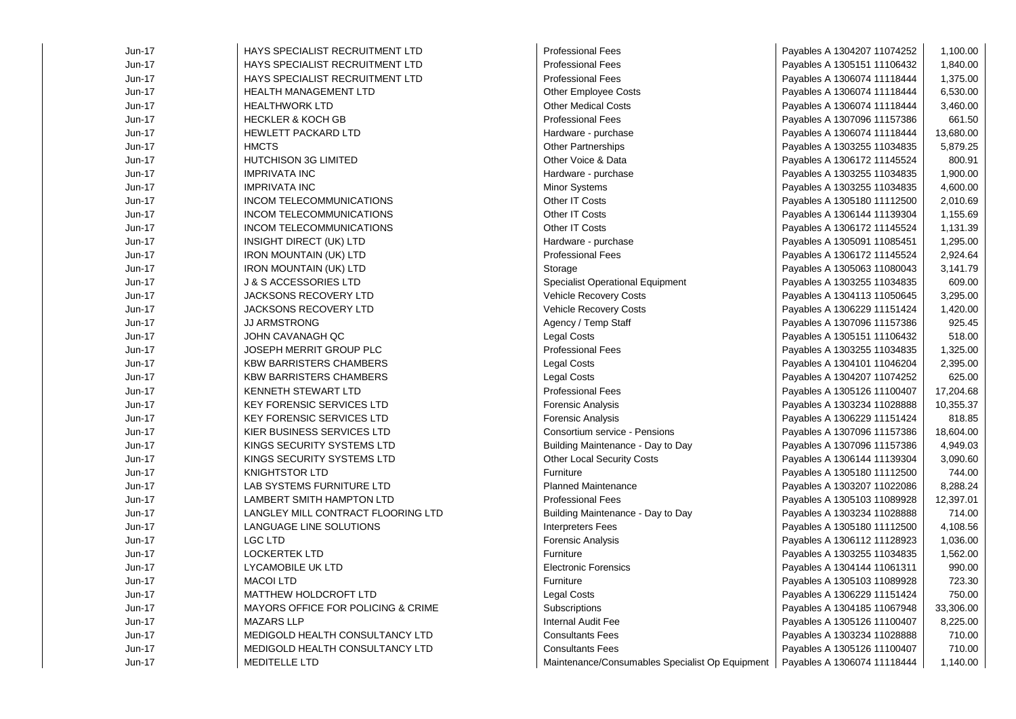| Jun-17   | <b>HAYS SPECIALIST RECRUITMENT LTD</b> | <b>Professional Fees</b>                        | Payables A 1304207 11074252 | 1,100.00  |
|----------|----------------------------------------|-------------------------------------------------|-----------------------------|-----------|
| Jun-17   | HAYS SPECIALIST RECRUITMENT LTD        | <b>Professional Fees</b>                        | Payables A 1305151 11106432 | 1,840.00  |
| $Jun-17$ | HAYS SPECIALIST RECRUITMENT LTD        | <b>Professional Fees</b>                        | Payables A 1306074 11118444 | 1,375.00  |
| Jun-17   | <b>HEALTH MANAGEMENT LTD</b>           | <b>Other Employee Costs</b>                     | Payables A 1306074 11118444 | 6,530.00  |
| $Jun-17$ | <b>HEALTHWORK LTD</b>                  | <b>Other Medical Costs</b>                      | Payables A 1306074 11118444 | 3,460.00  |
| Jun-17   | <b>HECKLER &amp; KOCH GB</b>           | <b>Professional Fees</b>                        | Payables A 1307096 11157386 | 661.50    |
| $Jun-17$ | <b>HEWLETT PACKARD LTD</b>             | Hardware - purchase                             | Payables A 1306074 11118444 | 13,680.00 |
| Jun-17   | <b>HMCTS</b>                           | Other Partnerships                              | Payables A 1303255 11034835 | 5,879.25  |
| Jun-17   | <b>HUTCHISON 3G LIMITED</b>            | Other Voice & Data                              | Payables A 1306172 11145524 | 800.91    |
| Jun-17   | <b>IMPRIVATA INC</b>                   | Hardware - purchase                             | Payables A 1303255 11034835 | 1,900.00  |
| Jun-17   | <b>IMPRIVATA INC</b>                   | Minor Systems                                   | Payables A 1303255 11034835 | 4,600.00  |
| Jun-17   | <b>INCOM TELECOMMUNICATIONS</b>        | Other IT Costs                                  | Payables A 1305180 11112500 | 2,010.69  |
| Jun-17   | <b>INCOM TELECOMMUNICATIONS</b>        | Other IT Costs                                  | Payables A 1306144 11139304 | 1,155.69  |
| Jun-17   | INCOM TELECOMMUNICATIONS               | Other IT Costs                                  | Payables A 1306172 11145524 | 1,131.39  |
| Jun-17   | INSIGHT DIRECT (UK) LTD                | Hardware - purchase                             | Payables A 1305091 11085451 | 1,295.00  |
| Jun-17   | <b>IRON MOUNTAIN (UK) LTD</b>          | <b>Professional Fees</b>                        | Payables A 1306172 11145524 | 2,924.64  |
| Jun-17   | <b>IRON MOUNTAIN (UK) LTD</b>          | Storage                                         | Payables A 1305063 11080043 | 3,141.79  |
| Jun-17   | J & S ACCESSORIES LTD                  | <b>Specialist Operational Equipment</b>         | Payables A 1303255 11034835 | 609.00    |
| Jun-17   | JACKSONS RECOVERY LTD                  | Vehicle Recovery Costs                          | Payables A 1304113 11050645 | 3,295.00  |
| Jun-17   | <b>JACKSONS RECOVERY LTD</b>           | Vehicle Recovery Costs                          | Payables A 1306229 11151424 | 1,420.00  |
| Jun-17   | <b>JJ ARMSTRONG</b>                    | Agency / Temp Staff                             | Payables A 1307096 11157386 | 925.45    |
| Jun-17   | JOHN CAVANAGH QC                       | <b>Legal Costs</b>                              | Payables A 1305151 11106432 | 518.00    |
| Jun-17   | JOSEPH MERRIT GROUP PLC                | <b>Professional Fees</b>                        | Payables A 1303255 11034835 | 1,325.00  |
| Jun-17   | <b>KBW BARRISTERS CHAMBERS</b>         | <b>Legal Costs</b>                              | Payables A 1304101 11046204 | 2,395.00  |
| Jun-17   | <b>KBW BARRISTERS CHAMBERS</b>         | Legal Costs                                     | Payables A 1304207 11074252 | 625.00    |
| Jun-17   | <b>KENNETH STEWART LTD</b>             | <b>Professional Fees</b>                        | Payables A 1305126 11100407 | 17,204.68 |
| Jun-17   | <b>KEY FORENSIC SERVICES LTD</b>       | <b>Forensic Analysis</b>                        | Payables A 1303234 11028888 | 10,355.37 |
| Jun-17   | <b>KEY FORENSIC SERVICES LTD</b>       | Forensic Analysis                               | Payables A 1306229 11151424 | 818.85    |
| Jun-17   | KIER BUSINESS SERVICES LTD             | Consortium service - Pensions                   | Payables A 1307096 11157386 | 18,604.00 |
| Jun-17   | KINGS SECURITY SYSTEMS LTD             | Building Maintenance - Day to Day               | Payables A 1307096 11157386 | 4,949.03  |
| Jun-17   | KINGS SECURITY SYSTEMS LTD             | Other Local Security Costs                      | Payables A 1306144 11139304 | 3,090.60  |
| Jun-17   | <b>KNIGHTSTOR LTD</b>                  | Furniture                                       | Payables A 1305180 11112500 | 744.00    |
| Jun-17   | LAB SYSTEMS FURNITURE LTD              | <b>Planned Maintenance</b>                      | Payables A 1303207 11022086 | 8,288.24  |
| Jun-17   | LAMBERT SMITH HAMPTON LTD              | <b>Professional Fees</b>                        | Payables A 1305103 11089928 | 12,397.01 |
| Jun-17   | LANGLEY MILL CONTRACT FLOORING LTD     | Building Maintenance - Day to Day               | Payables A 1303234 11028888 | 714.00    |
| $Jun-17$ | LANGUAGE LINE SOLUTIONS                | <b>Interpreters Fees</b>                        | Payables A 1305180 11112500 | 4,108.56  |
| Jun-17   | <b>LGC LTD</b>                         | Forensic Analysis                               | Payables A 1306112 11128923 | 1,036.00  |
| Jun-17   | <b>LOCKERTEK LTD</b>                   | Furniture                                       | Payables A 1303255 11034835 | 1,562.00  |
| Jun-17   | LYCAMOBILE UK LTD                      | <b>Electronic Forensics</b>                     | Payables A 1304144 11061311 | 990.00    |
| Jun-17   | <b>MACOI LTD</b>                       | Furniture                                       | Payables A 1305103 11089928 | 723.30    |
| Jun-17   | <b>MATTHEW HOLDCROFT LTD</b>           | <b>Legal Costs</b>                              | Payables A 1306229 11151424 | 750.00    |
| Jun-17   | MAYORS OFFICE FOR POLICING & CRIME     | Subscriptions                                   | Payables A 1304185 11067948 | 33,306.00 |
| Jun-17   | <b>MAZARS LLP</b>                      | Internal Audit Fee                              | Payables A 1305126 11100407 | 8,225.00  |
| Jun-17   | MEDIGOLD HEALTH CONSULTANCY LTD        | <b>Consultants Fees</b>                         | Payables A 1303234 11028888 | 710.00    |
| Jun-17   | MEDIGOLD HEALTH CONSULTANCY LTD        | <b>Consultants Fees</b>                         | Payables A 1305126 11100407 | 710.00    |
| Jun-17   | MEDITELLE LTD                          | Maintenance/Consumables Specialist Op Equipment | Payables A 1306074 11118444 | 1,140.00  |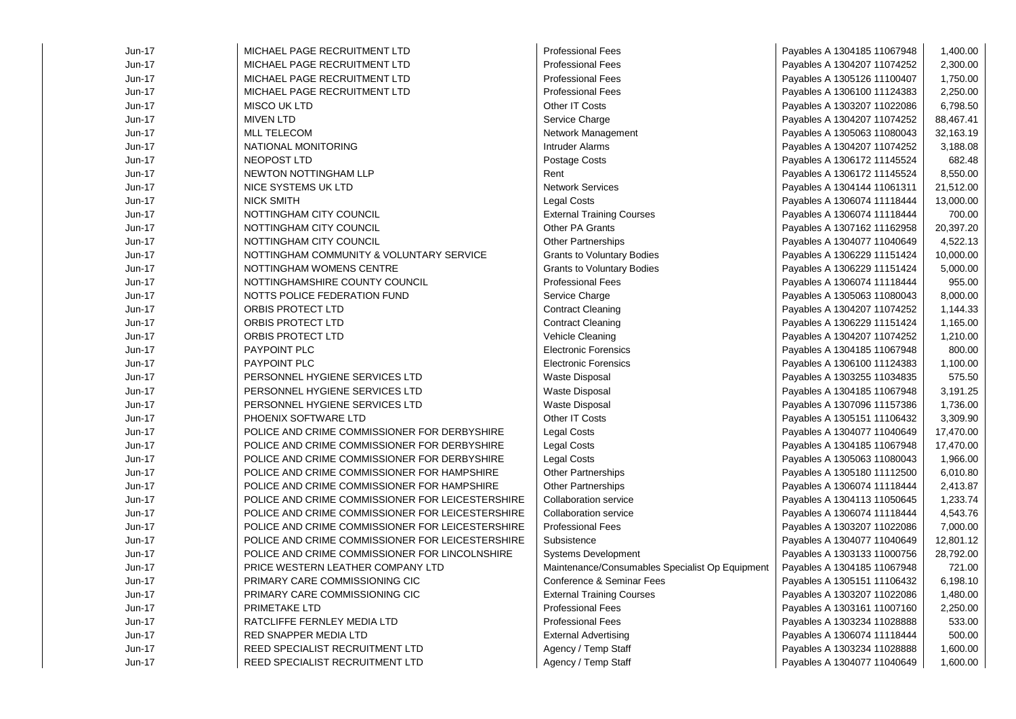| Jun-17        | MICHAEL PAGE RECRUITMENT LTD                     | <b>Professional Fees</b>                        | Payables A 1304185 11067948 | 1,400.00  |
|---------------|--------------------------------------------------|-------------------------------------------------|-----------------------------|-----------|
| Jun-17        | MICHAEL PAGE RECRUITMENT LTD                     | <b>Professional Fees</b>                        | Payables A 1304207 11074252 | 2,300.00  |
| Jun-17        | MICHAEL PAGE RECRUITMENT LTD                     | <b>Professional Fees</b>                        | Payables A 1305126 11100407 | 1,750.00  |
| Jun-17        | MICHAEL PAGE RECRUITMENT LTD                     | <b>Professional Fees</b>                        | Payables A 1306100 11124383 | 2,250.00  |
| Jun-17        | <b>MISCO UK LTD</b>                              | Other IT Costs                                  | Payables A 1303207 11022086 | 6,798.50  |
| Jun-17        | <b>MIVEN LTD</b>                                 | Service Charge                                  | Payables A 1304207 11074252 | 88,467.41 |
| <b>Jun-17</b> | <b>MLL TELECOM</b>                               | Network Management                              | Payables A 1305063 11080043 | 32,163.19 |
| Jun-17        | NATIONAL MONITORING                              | Intruder Alarms                                 | Payables A 1304207 11074252 | 3,188.08  |
| Jun-17        | <b>NEOPOST LTD</b>                               | Postage Costs                                   | Payables A 1306172 11145524 | 682.48    |
| Jun-17        | <b>NEWTON NOTTINGHAM LLP</b>                     | Rent                                            | Payables A 1306172 11145524 | 8,550.00  |
| Jun-17        | NICE SYSTEMS UK LTD                              | <b>Network Services</b>                         | Payables A 1304144 11061311 | 21,512.00 |
| Jun-17        | <b>NICK SMITH</b>                                | <b>Legal Costs</b>                              | Payables A 1306074 11118444 | 13,000.00 |
| Jun-17        | NOTTINGHAM CITY COUNCIL                          | <b>External Training Courses</b>                | Payables A 1306074 11118444 | 700.00    |
| Jun-17        | NOTTINGHAM CITY COUNCIL                          | Other PA Grants                                 | Payables A 1307162 11162958 | 20,397.20 |
| Jun-17        | NOTTINGHAM CITY COUNCIL                          | <b>Other Partnerships</b>                       | Payables A 1304077 11040649 | 4,522.13  |
| Jun-17        | NOTTINGHAM COMMUNITY & VOLUNTARY SERVICE         | <b>Grants to Voluntary Bodies</b>               | Payables A 1306229 11151424 | 10,000.00 |
| Jun-17        | NOTTINGHAM WOMENS CENTRE                         | <b>Grants to Voluntary Bodies</b>               | Payables A 1306229 11151424 | 5,000.00  |
| Jun-17        | NOTTINGHAMSHIRE COUNTY COUNCIL                   | <b>Professional Fees</b>                        | Payables A 1306074 11118444 | 955.00    |
| Jun-17        | NOTTS POLICE FEDERATION FUND                     | Service Charge                                  | Payables A 1305063 11080043 | 8,000.00  |
| Jun-17        | ORBIS PROTECT LTD                                | <b>Contract Cleaning</b>                        | Payables A 1304207 11074252 | 1,144.33  |
| Jun-17        | ORBIS PROTECT LTD                                | <b>Contract Cleaning</b>                        | Payables A 1306229 11151424 | 1,165.00  |
| Jun-17        | <b>ORBIS PROTECT LTD</b>                         | Vehicle Cleaning                                | Payables A 1304207 11074252 | 1,210.00  |
| Jun-17        | <b>PAYPOINT PLC</b>                              | <b>Electronic Forensics</b>                     | Payables A 1304185 11067948 | 800.00    |
| Jun-17        | <b>PAYPOINT PLC</b>                              | <b>Electronic Forensics</b>                     | Payables A 1306100 11124383 | 1,100.00  |
| Jun-17        | PERSONNEL HYGIENE SERVICES LTD                   | Waste Disposal                                  | Payables A 1303255 11034835 | 575.50    |
| Jun-17        | PERSONNEL HYGIENE SERVICES LTD                   | Waste Disposal                                  | Payables A 1304185 11067948 | 3,191.25  |
| Jun-17        | PERSONNEL HYGIENE SERVICES LTD                   | <b>Waste Disposal</b>                           | Payables A 1307096 11157386 | 1,736.00  |
| Jun-17        | PHOENIX SOFTWARE LTD                             | Other IT Costs                                  | Payables A 1305151 11106432 | 3,309.90  |
| Jun-17        | POLICE AND CRIME COMMISSIONER FOR DERBYSHIRE     | <b>Legal Costs</b>                              | Payables A 1304077 11040649 | 17,470.00 |
| $Jun-17$      | POLICE AND CRIME COMMISSIONER FOR DERBYSHIRE     | <b>Legal Costs</b>                              | Payables A 1304185 11067948 | 17,470.00 |
| Jun-17        | POLICE AND CRIME COMMISSIONER FOR DERBYSHIRE     | <b>Legal Costs</b>                              | Payables A 1305063 11080043 | 1,966.00  |
| Jun-17        | POLICE AND CRIME COMMISSIONER FOR HAMPSHIRE      | Other Partnerships                              | Payables A 1305180 11112500 | 6,010.80  |
| Jun-17        | POLICE AND CRIME COMMISSIONER FOR HAMPSHIRE      | <b>Other Partnerships</b>                       | Payables A 1306074 11118444 | 2,413.87  |
| Jun-17        | POLICE AND CRIME COMMISSIONER FOR LEICESTERSHIRE | <b>Collaboration service</b>                    | Payables A 1304113 11050645 | 1,233.74  |
| Jun-17        | POLICE AND CRIME COMMISSIONER FOR LEICESTERSHIRE | Collaboration service                           | Payables A 1306074 11118444 | 4,543.76  |
| Jun-17        | POLICE AND CRIME COMMISSIONER FOR LEICESTERSHIRE | <b>Professional Fees</b>                        | Payables A 1303207 11022086 | 7,000.00  |
| Jun-17        | POLICE AND CRIME COMMISSIONER FOR LEICESTERSHIRE | Subsistence                                     | Payables A 1304077 11040649 | 12,801.12 |
| Jun-17        | POLICE AND CRIME COMMISSIONER FOR LINCOLNSHIRE   | <b>Systems Development</b>                      | Payables A 1303133 11000756 | 28,792.00 |
| Jun-17        | PRICE WESTERN LEATHER COMPANY LTD                | Maintenance/Consumables Specialist Op Equipment | Payables A 1304185 11067948 | 721.00    |
| Jun-17        | PRIMARY CARE COMMISSIONING CIC                   | Conference & Seminar Fees                       | Payables A 1305151 11106432 | 6,198.10  |
| Jun-17        | PRIMARY CARE COMMISSIONING CIC                   | <b>External Training Courses</b>                | Payables A 1303207 11022086 | 1,480.00  |
| Jun-17        | PRIMETAKE LTD                                    | <b>Professional Fees</b>                        | Payables A 1303161 11007160 | 2,250.00  |
| Jun-17        | RATCLIFFE FERNLEY MEDIA LTD                      | <b>Professional Fees</b>                        | Payables A 1303234 11028888 | 533.00    |
| Jun-17        | RED SNAPPER MEDIA LTD                            | <b>External Advertising</b>                     | Payables A 1306074 11118444 | 500.00    |
| Jun-17        | REED SPECIALIST RECRUITMENT LTD                  | Agency / Temp Staff                             | Payables A 1303234 11028888 | 1,600.00  |
| Jun-17        | REED SPECIALIST RECRUITMENT LTD                  | Agency / Temp Staff                             | Payables A 1304077 11040649 | 1,600.00  |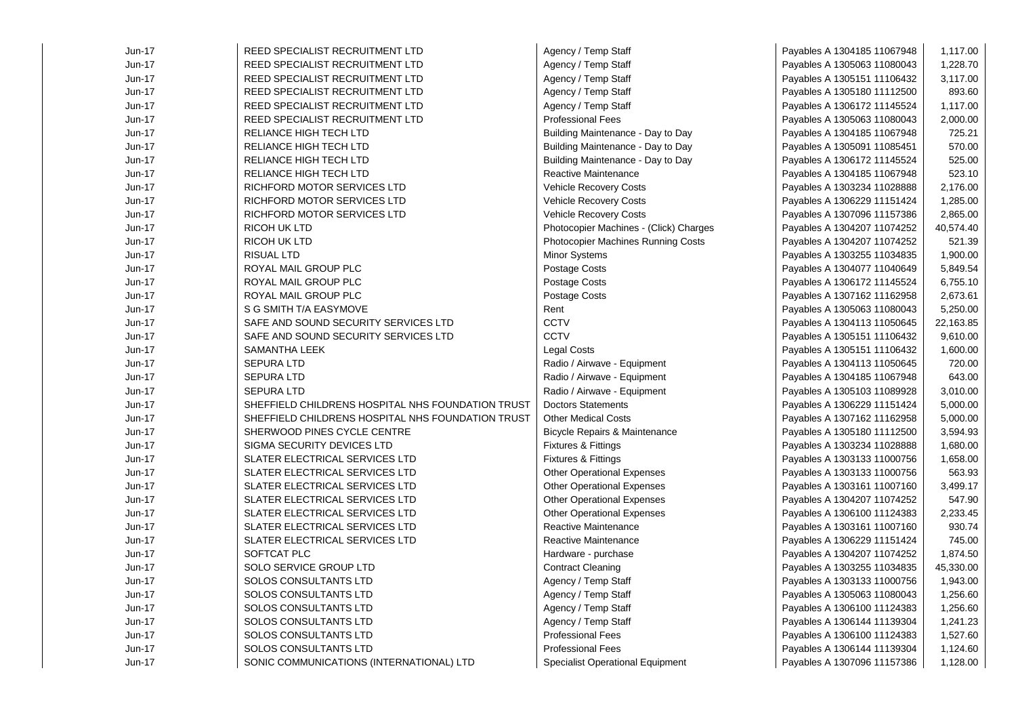| $Jun-17$ | REED SPECIALIST RECRUITMENT LTD                   | Agency / Temp Staff                     | Payables A 1304185 11067948 | 1,117.00  |
|----------|---------------------------------------------------|-----------------------------------------|-----------------------------|-----------|
| Jun-17   | REED SPECIALIST RECRUITMENT LTD                   | Agency / Temp Staff                     | Payables A 1305063 11080043 | 1,228.70  |
| Jun-17   | <b>REED SPECIALIST RECRUITMENT LTD</b>            | Agency / Temp Staff                     | Payables A 1305151 11106432 | 3,117.00  |
| Jun-17   | REED SPECIALIST RECRUITMENT LTD                   | Agency / Temp Staff                     | Payables A 1305180 11112500 | 893.60    |
| Jun-17   | REED SPECIALIST RECRUITMENT LTD                   | Agency / Temp Staff                     | Payables A 1306172 11145524 | 1,117.00  |
| Jun-17   | REED SPECIALIST RECRUITMENT LTD                   | <b>Professional Fees</b>                | Payables A 1305063 11080043 | 2,000.00  |
| Jun-17   | RELIANCE HIGH TECH LTD                            | Building Maintenance - Day to Day       | Payables A 1304185 11067948 | 725.21    |
| Jun-17   | RELIANCE HIGH TECH LTD                            | Building Maintenance - Day to Day       | Payables A 1305091 11085451 | 570.00    |
| Jun-17   | RELIANCE HIGH TECH LTD                            | Building Maintenance - Day to Day       | Payables A 1306172 11145524 | 525.00    |
| Jun-17   | <b>RELIANCE HIGH TECH LTD</b>                     | <b>Reactive Maintenance</b>             | Payables A 1304185 11067948 | 523.10    |
| Jun-17   | RICHFORD MOTOR SERVICES LTD                       | Vehicle Recovery Costs                  | Payables A 1303234 11028888 | 2,176.00  |
| Jun-17   | RICHFORD MOTOR SERVICES LTD                       | Vehicle Recovery Costs                  | Payables A 1306229 11151424 | 1,285.00  |
| Jun-17   | RICHFORD MOTOR SERVICES LTD                       | Vehicle Recovery Costs                  | Payables A 1307096 11157386 | 2,865.00  |
| Jun-17   | <b>RICOH UK LTD</b>                               | Photocopier Machines - (Click) Charges  | Payables A 1304207 11074252 | 40,574.40 |
| Jun-17   | <b>RICOH UK LTD</b>                               | Photocopier Machines Running Costs      | Payables A 1304207 11074252 | 521.39    |
| Jun-17   | <b>RISUAL LTD</b>                                 | Minor Systems                           | Payables A 1303255 11034835 | 1,900.00  |
| Jun-17   | ROYAL MAIL GROUP PLC                              | Postage Costs                           | Payables A 1304077 11040649 | 5,849.54  |
| Jun-17   | ROYAL MAIL GROUP PLC                              | Postage Costs                           | Payables A 1306172 11145524 | 6,755.10  |
| Jun-17   | ROYAL MAIL GROUP PLC                              | Postage Costs                           | Payables A 1307162 11162958 | 2,673.61  |
| Jun-17   | S G SMITH T/A EASYMOVE                            | Rent                                    | Payables A 1305063 11080043 | 5,250.00  |
| Jun-17   | SAFE AND SOUND SECURITY SERVICES LTD              | <b>CCTV</b>                             | Payables A 1304113 11050645 | 22,163.85 |
| Jun-17   | SAFE AND SOUND SECURITY SERVICES LTD              | CCTV                                    | Payables A 1305151 11106432 | 9,610.00  |
| Jun-17   | <b>SAMANTHA LEEK</b>                              | <b>Legal Costs</b>                      | Payables A 1305151 11106432 | 1,600.00  |
| Jun-17   | <b>SEPURA LTD</b>                                 | Radio / Airwave - Equipment             | Payables A 1304113 11050645 | 720.00    |
| Jun-17   | <b>SEPURA LTD</b>                                 | Radio / Airwave - Equipment             | Payables A 1304185 11067948 | 643.00    |
| Jun-17   | <b>SEPURA LTD</b>                                 | Radio / Airwave - Equipment             | Payables A 1305103 11089928 | 3,010.00  |
| Jun-17   | SHEFFIELD CHILDRENS HOSPITAL NHS FOUNDATION TRUST | <b>Doctors Statements</b>               | Payables A 1306229 11151424 | 5,000.00  |
| Jun-17   | SHEFFIELD CHILDRENS HOSPITAL NHS FOUNDATION TRUST | <b>Other Medical Costs</b>              | Payables A 1307162 11162958 | 5,000.00  |
| Jun-17   | SHERWOOD PINES CYCLE CENTRE                       | Bicycle Repairs & Maintenance           | Payables A 1305180 11112500 | 3,594.93  |
| Jun-17   | SIGMA SECURITY DEVICES LTD                        | <b>Fixtures &amp; Fittings</b>          | Payables A 1303234 11028888 | 1,680.00  |
| Jun-17   | SLATER ELECTRICAL SERVICES LTD                    | Fixtures & Fittings                     | Payables A 1303133 11000756 | 1,658.00  |
| Jun-17   | SLATER ELECTRICAL SERVICES LTD                    | <b>Other Operational Expenses</b>       | Payables A 1303133 11000756 | 563.93    |
| Jun-17   | SLATER ELECTRICAL SERVICES LTD                    | <b>Other Operational Expenses</b>       | Payables A 1303161 11007160 | 3,499.17  |
| Jun-17   | <b>SLATER ELECTRICAL SERVICES LTD</b>             | <b>Other Operational Expenses</b>       | Payables A 1304207 11074252 | 547.90    |
| Jun-17   | <b>SLATER ELECTRICAL SERVICES LTD</b>             | <b>Other Operational Expenses</b>       | Payables A 1306100 11124383 | 2,233.45  |
| Jun-17   | SLATER ELECTRICAL SERVICES LTD                    | Reactive Maintenance                    | Payables A 1303161 11007160 | 930.74    |
| Jun-17   | SLATER ELECTRICAL SERVICES LTD                    | Reactive Maintenance                    | Payables A 1306229 11151424 | 745.00    |
| Jun-17   | SOFTCAT PLC                                       | Hardware - purchase                     | Payables A 1304207 11074252 | 1,874.50  |
| $Jun-17$ | SOLO SERVICE GROUP LTD                            | <b>Contract Cleaning</b>                | Payables A 1303255 11034835 | 45,330.00 |
| Jun-17   | SOLOS CONSULTANTS LTD                             | Agency / Temp Staff                     | Payables A 1303133 11000756 | 1,943.00  |
| Jun-17   | <b>SOLOS CONSULTANTS LTD</b>                      | Agency / Temp Staff                     | Payables A 1305063 11080043 | 1,256.60  |
| $Jun-17$ | SOLOS CONSULTANTS LTD                             | Agency / Temp Staff                     | Payables A 1306100 11124383 | 1,256.60  |
| $Jun-17$ | SOLOS CONSULTANTS LTD                             | Agency / Temp Staff                     | Payables A 1306144 11139304 | 1,241.23  |
| $Jun-17$ | SOLOS CONSULTANTS LTD                             | <b>Professional Fees</b>                | Payables A 1306100 11124383 | 1,527.60  |
| Jun-17   | SOLOS CONSULTANTS LTD                             | <b>Professional Fees</b>                | Payables A 1306144 11139304 | 1,124.60  |
| $Jun-17$ | SONIC COMMUNICATIONS (INTERNATIONAL) LTD          | <b>Specialist Operational Equipment</b> | Payables A 1307096 11157386 | 1,128.00  |